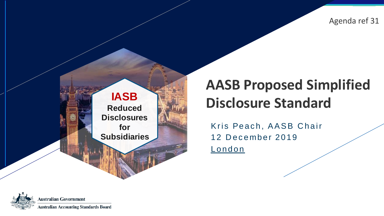Agenda ref 31

## **IASB Reduced Disclosures for Subsidiaries**

# **AASB Proposed Simplified Disclosure Standard**

Kris Peach, AASB Chair 12 December 2019 London

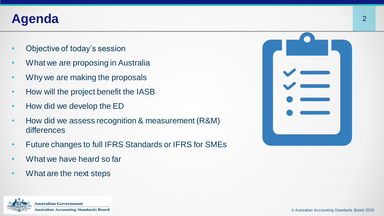### **Agenda**

- Objective of today's session
- What we are proposing in Australia
- Why we are making the proposals
- How will the project benefit the IASB
- How did we develop the ED
- How did we assess recognition & measurement (R&M) differences
- Future changes to full IFRS Standards or IFRS for SMEs
- What we have heard so far
- What are the next steps

**Australian Government** 

**Australian Accounting Standards Board** 

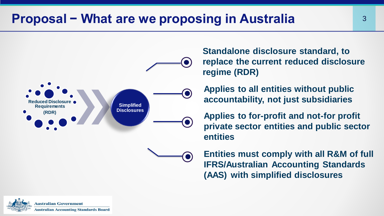### **Proposal − What are we proposing in Australia** 3



**Standalone disclosure standard, to replace the current reduced disclosure regime (RDR)**

**Applies to all entities without public accountability, not just subsidiaries**

**Applies to for-profit and not-for profit private sector entities and public sector entities**

**Entities must comply with all R&M of full IFRS/Australian Accounting Standards (AAS) with simplified disclosures**

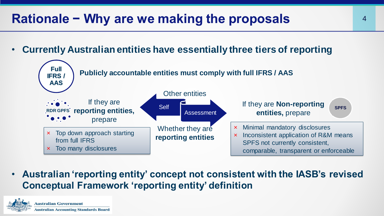## **Rationale − Why are we making the proposals**

• **Currently Australian entities have essentially three tiers of reporting**



• **Australian 'reporting entity' concept not consistent with the IASB's revised Conceptual Framework 'reporting entity' definition**

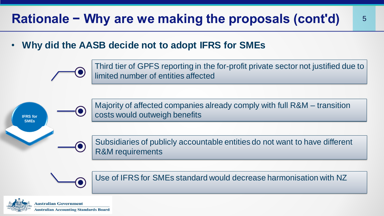## **Rationale − Why are we making the proposals (cont'd)** 5

• **Why did the AASB decide not to adopt IFRS for SMEs**

Third tier of GPFS reporting in the for-profit private sector not justified due to limited number of entities affected

**IFRS for SMEs**



Majority of affected companies already comply with full R&M – transition costs would outweigh benefits



Subsidiaries of publicly accountable entities do not want to have different R&M requirements



Use of IFRS for SMEs standard would decrease harmonisation with NZ

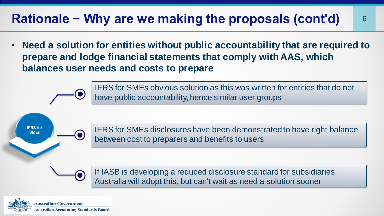## **Rationale − Why are we making the proposals (cont'd)** 6

• **Need a solution for entities without public accountability that are required to prepare and lodge financial statements that comply with AAS, which balances user needs and costs to prepare**

> IFRS for SMEs obvious solution as this was written for entities that do not have public accountability, hence similar user groups

**IFRS for SMEs**

IFRS for SMEs disclosures have been demonstrated to have right balance between cost to preparers and benefits to users



If IASB is developing a reduced disclosure standard for subsidiaries, Australia will adopt this, but can't wait as need a solution sooner

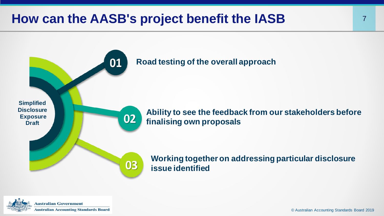### **How can the AASB's project benefit the IASB**



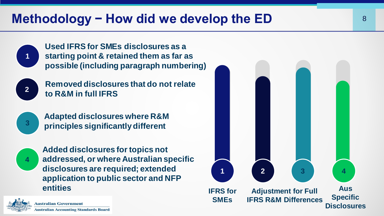## Methodology − How did we develop the ED 8



**Used IFRS for SMEs disclosures as a starting point & retained them as far as possible (including paragraph numbering)**



**Removed disclosures that do not relate to R&M in full IFRS**



**Adapted disclosures where R&M principles significantly different**



**Added disclosures for topics not addressed, or where Australian specific disclosures are required; extended application to public sector and NFP entities**



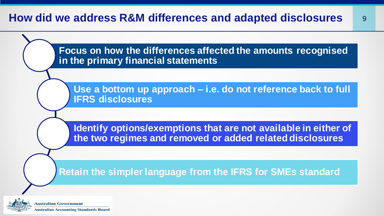#### **How did we address R&M differences and adapted disclosures**

**Focus on how the differences affected the amounts recognised in the primary financial statements**

**Use a bottom up approach – i.e. do not reference back to full IFRS disclosures**

**Identify options/exemptions that are not available in either of the two regimes and removed or added related disclosures**

**Retain the simpler language from the IFRS for SMEs standard**



ustralian Government **Australian Accounting Standards Board**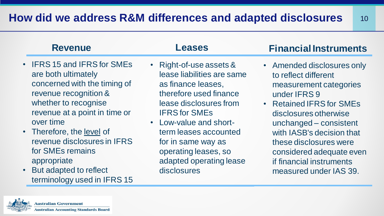- IFRS 15 and IFRS for SMEs are both ultimately concerned with the timing of revenue recognition & whether to recognise revenue at a point in time or over time
- Therefore, the level of revenue disclosures in IFRS for SMEs remains appropriate
- But adapted to reflect terminology used in IFRS 15

- Right-of-use assets & lease liabilities are same as finance leases, therefore used finance lease disclosures from IFRS for SMEs
- Low-value and shortterm leases accounted for in same way as operating leases, so adapted operating lease disclosures

#### **Revenue Leases Financial Instruments**

- Amended disclosures only to reflect different measurement categories under IFRS 9
- Retained IFRS for SMEs disclosures otherwise unchanged – consistent with IASB's decision that these disclosures were considered adequate even if financial instruments measured under IAS 39.

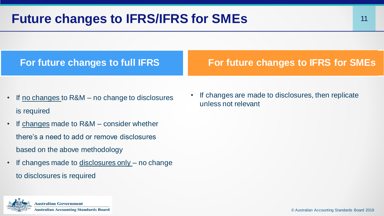#### **For future changes to full IFRS For future changes to IFRS for SMEs**

- If no changes to R&M no change to disclosures is required
- If changes made to R&M consider whether there's a need to add or remove disclosures based on the above methodology
- If changes made to disclosures only no change to disclosures is required

• If changes are made to disclosures, then replicate unless not relevant

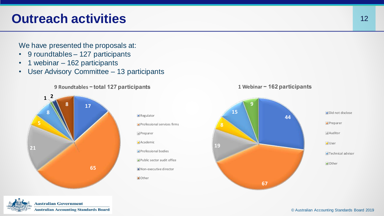#### **Outreach activities**

We have presented the proposals at:

- 9 roundtables 127 participants
- 1 webinar 162 participants
- User Advisory Committee 13 participants



**Regulator Professional services firms Preparer Academic Professional bodies Public sector audit office** Non-executive director Other



#### **1 Webinar − 162 participants**

12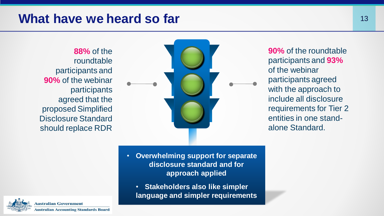#### **What have we heard so far** 13

**88%** of the roundtable participants and **90%** of the webinar participants agreed that the proposed Simplified Disclosure Standard should replace RDR



**90%** of the roundtable participants and **93%**  of the webinar participants agreed with the approach to include all disclosure requirements for Tier 2 entities in one standalone Standard.

- **Overwhelming support for separate disclosure standard and for approach applied**
	- **Stakeholders also like simpler language and simpler requirements**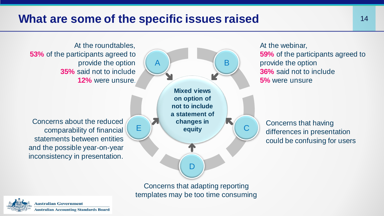#### **What are some of the specific issues raised** 14



Concerns that adapting reporting templates may be too time consuming

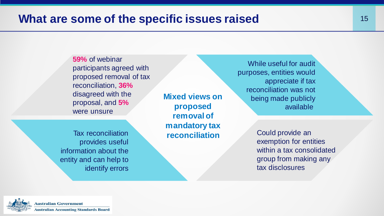#### **What are some of the specific issues raised 15 and 15 and 15 and 15 and 15 and 15 and 15 and 15 and 15 and 15 and 15 and 15 and 16 and 16 and 16 and 16 and 16 and 16 and 16 and 16 and 16 and 16 and 16 and 16 and 16 and 16**

**59%** of webinar participants agreed with proposed removal of tax reconciliation, **36%**  disagreed with the proposal, and **5%**  were unsure

Tax reconciliation provides useful information about the entity and can help to identify errors **Mixed views on proposed removal of mandatory tax** 

While useful for audit purposes, entities would appreciate if tax reconciliation was not being made publicly available

**reconciliation** Could provide an exemption for entities within a tax consolidated group from making any tax disclosures

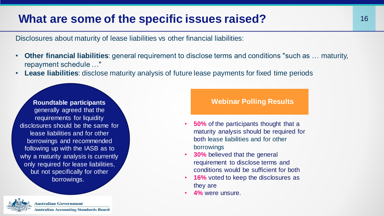#### **What are some of the specific issues raised?** 16

Disclosures about maturity of lease liabilities vs other financial liabilities:

- **Other financial liabilities**: general requirement to disclose terms and conditions "such as … maturity, repayment schedule …"
- **Lease liabilities**: disclose maturity analysis of future lease payments for fixed time periods

**Roundtable participants**  generally agreed that the requirements for liquidity disclosures should be the same for lease liabilities and for other borrowings and recommended following up with the IASB as to why a maturity analysis is currently only required for lease liabilities, but not specifically for other borrowings.



**Australian Government Australian Accounting Standards Board**  **Webinar Polling Results**

- **50%** of the participants thought that a maturity analysis should be required for both lease liabilities and for other borrowings
- **30%** believed that the general requirement to disclose terms and conditions would be sufficient for both
- **16%** voted to keep the disclosures as they are
- **4%** were unsure.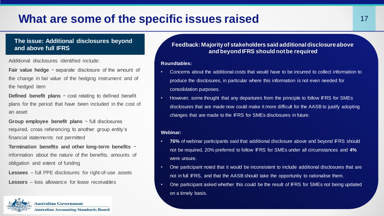#### **What are some of the specific issues raised 17 17 17**

#### **The issue: Additional disclosures beyond and above full IFRS**

Additional disclosures identified include:

**Fair value hedge** − separate disclosure of the amount of the change in fair value of the hedging instrument and of the hedged item

**Defined benefit plans** − cost relating to defined benefit plans for the period that have been included in the cost of an asset

**Group employee benefit plans** − full disclosures required, cross referencing to another group entity's financial statements not permitted

**Termination benefits and other long-term benefits** − information about the nature of the benefits, amounts of obligation and extent of funding

**Lessees** – full PPE disclosures for right-of-use assets **Lessors** – loss allowance for lease receivables



#### **Feedback: Majority of stakeholders said additional disclosure above and beyond IFRS should not be required**

#### **Roundtables:**

- Concerns about the additional costs that would have to be incurred to collect information to produce the disclosures, in particular where this information is not even needed for consolidation purposes.
- However, some thought that any departures from the principle to follow IFRS for SMEs disclosures that are made now could make it more difficult for the AASB to justify adopting changes that are made to the IFRS for SMEs disclosures in future.

#### **Webinar:**

- **76%** of webinar participants said that additional disclosure above and beyond IFRS should not be required, 20% preferred to follow IFRS for SMEs under all circumstances and **4%**  were unsure.
- One participant noted that it would be inconsistent to include additional disclosures that are not in full IFRS, and that the AASB should take the opportunity to rationalise them.
- One participant asked whether this could be the result of IFRS for SMEs not being updated on a timely basis.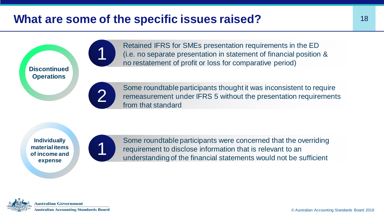#### **What are some of the specific issues raised?**

**Discontinued Operations**



1

Some roundtable participants thought it was inconsistent to require remeasurement under IFRS 5 without the presentation requirements from that standard

Retained IFRS for SMEs presentation requirements in the ED

no restatement of profit or loss for comparative period)

(i.e. no separate presentation in statement of financial position &

**Individually material items of income and expense** 



Some roundtable participants were concerned that the overriding requirement to disclose information that is relevant to an understanding of the financial statements would not be sufficient

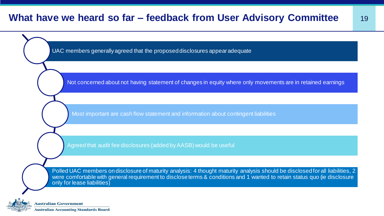#### **What have we heard so far – feedback from User Advisory Committee** 19

UAC members generally agreed that the proposed disclosures appear adequate

Not concerned about not having statement of changes in equity where only movements are in retained earnings

Most important are cash flow statement and information about contingent liabilities

Agreed that audit fee disclosures (added by AASB) would be useful

Polled UAC members on disclosure of maturity analysis: 4 thought maturity analysis should be disclosed for all liabilities, 2 were comfortable with general requirement to disclose terms & conditions and 1 wanted to retain status quo (ie disclosure only for lease liabilities)



**Australian Government Australian Accounting Standards Board**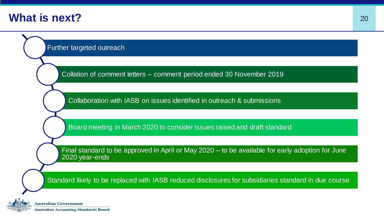





**Australian Government Australian Accounting Standards Board**